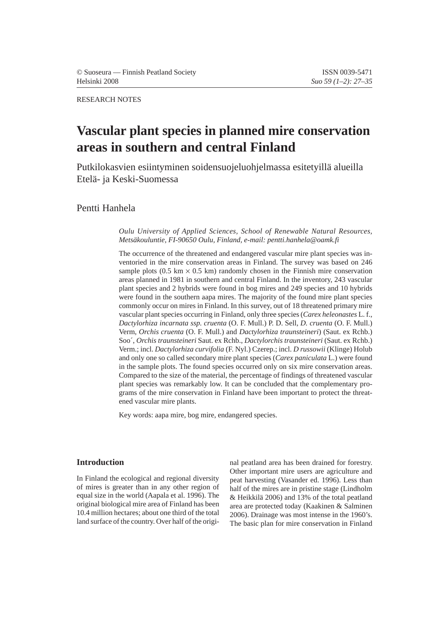#### RESEARCH NOTES

# **Vascular plant species in planned mire conservation areas in southern and central Finland**

Putkilokasvien esiintyminen soidensuojeluohjelmassa esitetyillä alueilla Etelä- ja Keski-Suomessa

Pentti Hanhela

*Oulu University of Applied Sciences, School of Renewable Natural Resources, Metsäkouluntie, FI-90650 Oulu, Finland, e-mail: pentti.hanhela@oamk.fi*

The occurrence of the threatened and endangered vascular mire plant species was inventoried in the mire conservation areas in Finland. The survey was based on 246 sample plots  $(0.5 \text{ km} \times 0.5 \text{ km})$  randomly chosen in the Finnish mire conservation areas planned in 1981 in southern and central Finland. In the inventory, 243 vascular plant species and 2 hybrids were found in bog mires and 249 species and 10 hybrids were found in the southern aapa mires. The majority of the found mire plant species commonly occur on mires in Finland. In this survey, out of 18 threatened primary mire vascular plant species occurring in Finland, only three species (*Carex heleonastes* L. f., *Dactylorhiza incarnata ssp. cruenta* (O. F. Mull.) P. D. Sell*, D. cruenta* (O. F. Mull.) Verm, *Orchis cruenta* (O. F. Mull.) and *Dactylorhiza traunsteineri*) (Saut. ex Rchb.) Soo´, *Orchis traunsteineri* Saut. ex Rchb., *Dactylorchis traunsteineri* (Saut. ex Rchb.) Verm.; incl. *Dactylorhiza curvifolia* (F. Nyl.) Czerep.; incl. *D russowii* (Klinge) Holub and only one so called secondary mire plant species (*Carex paniculata* L.) were found in the sample plots. The found species occurred only on six mire conservation areas. Compared to the size of the material, the percentage of findings of threatened vascular plant species was remarkably low. It can be concluded that the complementary programs of the mire conservation in Finland have been important to protect the threatened vascular mire plants.

Key words: aapa mire, bog mire, endangered species.

#### **Introduction**

In Finland the ecological and regional diversity of mires is greater than in any other region of equal size in the world (Aapala et al. 1996). The original biological mire area of Finland has been 10.4 million hectares; about one third of the total land surface of the country. Over half of the origi-

nal peatland area has been drained for forestry. Other important mire users are agriculture and peat harvesting (Vasander ed. 1996). Less than half of the mires are in pristine stage (Lindholm & Heikkilä 2006) and 13% of the total peatland area are protected today (Kaakinen & Salminen 2006). Drainage was most intense in the 1960's. The basic plan for mire conservation in Finland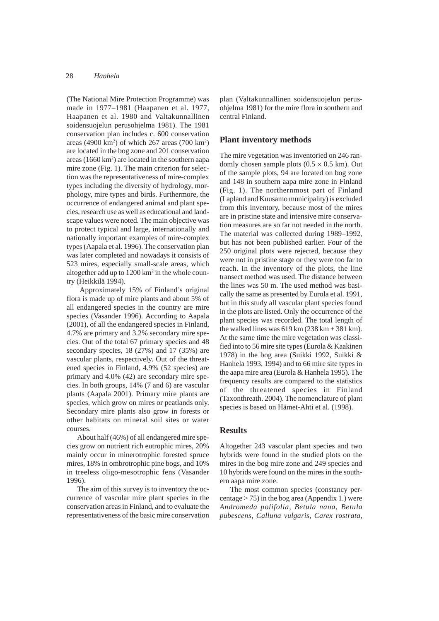(The National Mire Protection Programme) was made in 1977–1981 (Haapanen et al. 1977, Haapanen et al. 1980 and Valtakunnallinen soidensuojelun perusohjelma 1981). The 1981 conservation plan includes c. 600 conservation areas (4900 km<sup>2</sup>) of which 267 areas (700 km<sup>2</sup>) are located in the bog zone and 201 conservation areas (1660 km<sup>2</sup>) are located in the southern aapa mire zone (Fig. 1). The main criterion for selection was the representativeness of mire-complex types including the diversity of hydrology, morphology, mire types and birds. Furthermore, the occurrence of endangered animal and plant species, research use as well as educational and landscape values were noted. The main objective was to protect typical and large, internationally and nationally important examples of mire-complex types (Aapala et al. 1996). The conservation plan was later completed and nowadays it consists of 523 mires, especially small-scale areas, which altogether add up to 1200 km<sup>2</sup> in the whole country (Heikkilä 1994).

 Approximately 15% of Finland's original flora is made up of mire plants and about 5% of all endangered species in the country are mire species (Vasander 1996). According to Aapala (2001), of all the endangered species in Finland, 4.7% are primary and 3.2% secondary mire species. Out of the total 67 primary species and 48 secondary species, 18 (27%) and 17 (35%) are vascular plants, respectively. Out of the threatened species in Finland, 4.9% (52 species) are primary and 4.0% (42) are secondary mire species. In both groups, 14% (7 and 6) are vascular plants (Aapala 2001). Primary mire plants are species, which grow on mires or peatlands only. Secondary mire plants also grow in forests or other habitats on mineral soil sites or water courses.

About half (46%) of all endangered mire species grow on nutrient rich eutrophic mires, 20% mainly occur in minerotrophic forested spruce mires, 18% in ombrotrophic pine bogs, and 10% in treeless oligo-mesotrophic fens (Vasander 1996).

The aim of this survey is to inventory the occurrence of vascular mire plant species in the conservation areas in Finland, and to evaluate the representativeness of the basic mire conservation plan (Valtakunnallinen soidensuojelun perusohjelma 1981) for the mire flora in southern and central Finland.

#### **Plant inventory methods**

The mire vegetation was inventoried on 246 randomly chosen sample plots  $(0.5 \times 0.5 \text{ km})$ . Out of the sample plots, 94 are located on bog zone and 148 in southern aapa mire zone in Finland (Fig. 1). The northernmost part of Finland (Lapland and Kuusamo municipality) is excluded from this inventory, because most of the mires are in pristine state and intensive mire conservation measures are so far not needed in the north. The material was collected during 1989–1992, but has not been published earlier. Four of the 250 original plots were rejected, because they were not in pristine stage or they were too far to reach. In the inventory of the plots, the line transect method was used. The distance between the lines was 50 m. The used method was basically the same as presented by Eurola et al. 1991, but in this study all vascular plant species found in the plots are listed. Only the occurrence of the plant species was recorded. The total length of the walked lines was  $619 \text{ km}$  ( $238 \text{ km} + 381 \text{ km}$ ). At the same time the mire vegetation was classified into to 56 mire site types (Eurola & Kaakinen 1978) in the bog area (Suikki 1992, Suikki & Hanhela 1993, 1994) and to 66 mire site types in the aapa mire area (Eurola & Hanhela 1995). The frequency results are compared to the statistics of the threatened species in Finland (Taxonthreath. 2004). The nomenclature of plant species is based on Hämet-Ahti et al. (1998).

#### **Results**

Altogether 243 vascular plant species and two hybrids were found in the studied plots on the mires in the bog mire zone and 249 species and 10 hybrids were found on the mires in the southern aapa mire zone.

The most common species (constancy percentage  $> 75$ ) in the bog area (Appendix 1.) were *Andromeda polifolia, Betula nana, Betula pubescens, Calluna vulgaris, Carex rostrata,*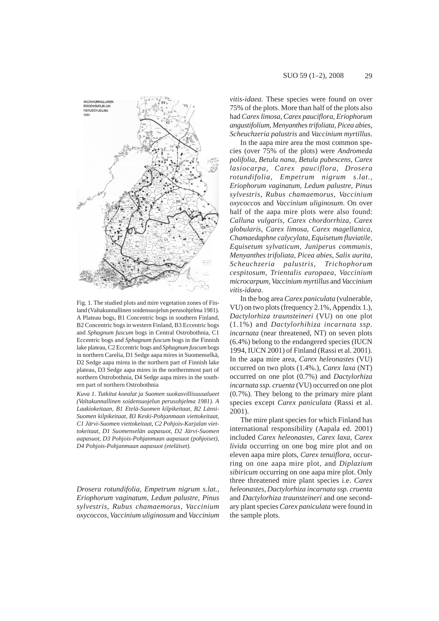

Fig. 1. The studied plots and mire vegetation zones of Finland (Valtakunnallinen soidensuojelun perusohjelma 1981). A Plateau bogs, B1 Concentric bogs in southern Finland, B2 Concentric bogs in western Finland, B3 Eccentric bogs and *Sphagnum fuscum* bogs in Central Ostrobothnia, C1 Eccentric bogs and *Sphagnum fuscum* bogs in the Finnish lake plateau, C2 Eccentric bogs and *Sphagnum fuscum* bogs in northern Carelia, D1 Sedge aapa mires in Suomenselkä, D<sub>2</sub> Sedge aapa mirea in the northern part of Finnish lake plateau, D3 Sedge aapa mires in the northernmost part of northern Ostrobothnia, D4 Sedge aapa mires in the southern part of northern Ostrobothnia

*Kuva 1. Tutkitut koealat ja Suomen suokasvillisuusalueet (Valtakunnallinen soidensuojelun perusohjelma 1981). A Laakiokeitaan, B1 Etelä-Suomen kilpikeitaat, B2 Länsi-Suomen kilpikeitaat, B3 Keski-Pohjanmaan viettokeitaat, C1 Järvi-Suomen viettokeitaat, C2 Pohjois-Karjalan viettokeitaat, D1 Suomenselän aapasuot, D2 Järvi-Suomen aapasuot, D3 Pohjois-Pohjanmaan aapasuot (pohjoiset), D4 Pohjois-Pohjanmaan aapasuot (eteläiset).*

*Drosera rotundifolia, Empetrum nigrum s.lat., Eriophorum vaginatum, Ledum palustre, Pinus sylvestris, Rubus chamaemorus, Vaccinium oxycoccos, Vaccinium uliginosum* and *Vaccinium* *vitis-idaea.* These species were found on over 75% of the plots. More than half of the plots also had *Carex limosa, Carex pauciflora, Eriophorum angustifolium, Menyanthes trifoliata, Picea abies, Scheuchzeria palustris* and *Vaccinium myrtillus*.

In the aapa mire area the most common species (over 75% of the plots) were *Andromeda polifolia, Betula nana, Betula pubescens, Carex lasiocarpa, Carex pauciflora, Drosera rotundifolia, Empetrum nigrum s.lat., Eriophorum vaginatum, Ledum palustre, Pinus sylvestris, Rubus chamaemorus, Vaccinium oxycoccos* and *Vaccinium uliginosum*. On over half of the aapa mire plots were also found: *Calluna vulgaris, Carex chordorrhiza, Carex globularis, Carex limosa, Carex magellanica, Chamaedaphne calycylata, Equisetum fluviatile, Equisetum sylvaticum, Juniperus communis, Menyanthes trifoliata, Picea abies, Salix aurita, Scheuchzeria palustris, Trichophorum cespitosum, Trientalis europaea, Vaccinium microcarpum, Vaccinium myrtillus* and *Vaccinium vitis-idaea.*

In the bog area *Carex paniculata* (vulnerable, VU) on two plots (frequency 2.1%, Appendix 1.), *Dactylorhiza traunsteineri* (VU) on one plot (1.1%) and *Dactylorhihiza incarnata ssp. incarnata* (near threatened, NT) on seven plots (6.4%) belong to the endangered species (IUCN 1994, IUCN 2001) of Finland (Rassi et al. 2001). In the aapa mire area, *Carex heleonastes* (VU) occurred on two plots (1.4%.), *Carex laxa* (NT) occurred on one plot (0.7%) and *Dactylorhiza incarnata ssp. cruenta* (VU) occurred on one plot (0.7%). They belong to the primary mire plant species except *Carex paniculata* (Rassi et al. 2001).

The mire plant species for which Finland has international responsibility (Aapala ed. 2001) included *Carex heleonastes, Carex laxa, Carex livida* occurring on one bog mire plot and on eleven aapa mire plots, *Carex tenuiflora,* occurring on one aapa mire plot, and *Diplazium sibiricum* occurring on one aapa mire plot. Only three threatened mire plant species i.e. *Carex heleonastes*, *Dactylorhiza incarnata ssp. cruenta* and *Dactylorhiza traunsteineri* and one secondary plant species *Carex paniculata* were found in the sample plots.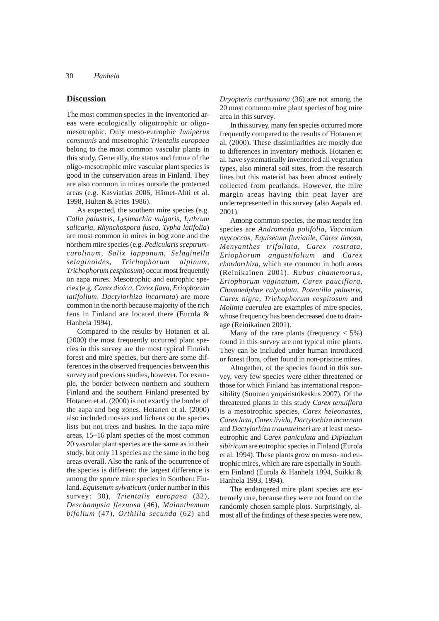#### **Discussion**

The most common species in the inventoried areas were ecologically oligotrophic or oligomesotrophic. Only meso-eutrophic *Juniperus communis* and mesotrophic *Trientalis europaea* belong to the most common vascular plants in this study. Generally, the status and future of the oligo-mesotrophic mire vascular plant species is good in the conservation areas in Finland. They are also common in mires outside the protected areas (e.g. Kasviatlas 2006, Hämet-Ahti et al. 1998, Hulten & Fries 1986).

As expected, the southern mire species (e.g. *Calla palustris, Lysimachia vulgaris, Lythrum salicaria, Rhynchospora fusca, Typha latifolia*) are most common in mires in bog zone and the northern mire species (e.g. *Pedicularis sceptrumcarolinum, Salix lapponum, Selaginella selaginoides, Trichophorum alpinum, Trichophorum cespitosum*) occur most frequently on aapa mires. Mesotrophic and eutrophic species (e.g. *Carex dioica, Carex flava, Eriophorum latifolium, Dactylorhiza incarnata*) are more common in the north because majority of the rich fens in Finland are located there (Eurola & Hanhela 1994).

Compared to the results by Hotanen et al. (2000) the most frequently occurred plant species in this survey are the most typical Finnish forest and mire species, but there are some differences in the observed frequencies between this survey and previous studies, however. For example, the border between northern and southern Finland and the southern Finland presented by Hotanen et al. (2000) is not exactly the border of the aapa and bog zones. Hotanen et al. (2000) also included mosses and lichens on the species lists but not trees and bushes. In the aapa mire areas, 15–16 plant species of the most common 20 vascular plant species are the same as in their study, but only 11 species are the same in the bog areas overall. Also the rank of the occurrence of the species is different: the largest difference is among the spruce mire species in Southern Finland. *Equisetum sylvaticum* (order number in this survey: 30)*, Trientalis europaea* (32)*, Deschampsia flexuosa* (46)*, Maianthemum bifolium* (47)*, Orthilia secunda* (62) and

*Dryopteris carthusiana* (36) are not among the 20 most common mire plant species of bog mire area in this survey.

In this survey, many fen species occurred more frequently compared to the results of Hotanen et al. (2000). These dissimilarities are mostly due to differences in inventory methods. Hotanen et al. have systematically inventoried all vegetation types, also mineral soil sites, from the research lines but this material has been almost entirely collected from peatlands. However, the mire margin areas having thin peat layer are underrepresented in this survey (also Aapala ed. 2001).

Among common species, the most tender fen species are *Andromeda polifolia, Vaccinium oxycoccos, Equisetum fluviatile, Carex limosa, Menyanthes trifoliata, Carex rostrata, Eriophorum angustifolium* and *Carex chordorrhiza,* which are common in both areas (Reinikainen 2001). *Rubus chamemorus, Eriophorum vaginatum, Carex pauciflora, Chamaedphne calyculata, Potentilla palustris, Carex nigra, Trichophorum cespitosum* and *Molinia caerulea* are examples of mire species, whose frequency has been decreased due to drainage (Reinikainen 2001).

Many of the rare plants (frequency  $<$  5%) found in this survey are not typical mire plants. They can be included under human introduced or forest flora, often found in non-pristine mires.

Altogether, of the species found in this survey, very few species were either threatened or those for which Finland has international responsibility (Suomen ympäristökeskus 2007). Of the threatened plants in this study *Carex tenuiflora* is a mesotrophic species, *Carex heleonastes, Carex laxa, Carex livida, Dactylorhiza incarnata* and *Dactylorhiza traunsteineri* are at least mesoeutrophic and *Carex paniculata* and *Diplazium sibiricum* are eutrophic species in Finland (Eurola et al. 1994). These plants grow on meso- and eutrophic mires, which are rare especially in Southern Finland (Eurola & Hanhela 1994, Suikki & Hanhela 1993, 1994).

The endangered mire plant species are extremely rare, because they were not found on the randomly chosen sample plots. Surprisingly, almost all of the findings of these species were new,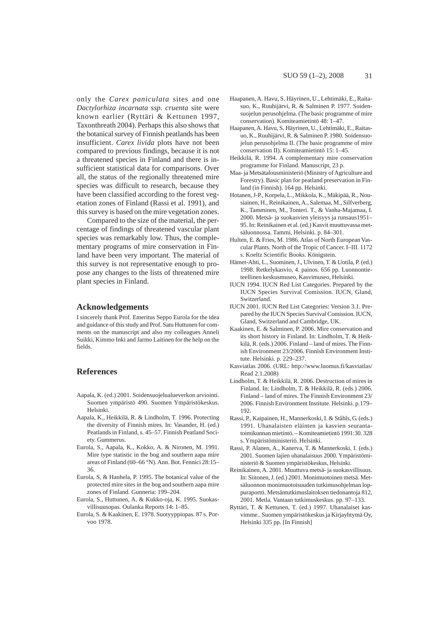only the *Carex paniculata* sites and one *Dactylorhiza incarnata ssp. cruenta* site were known earlier (Ryttäri & Kettunen 1997, Taxonthreath 2004). Perhaps this also shows that the botanical survey of Finnish peatlands has been insufficient. *Carex livida* plots have not been compared to previous findings, because it is not a threatened species in Finland and there is insufficient statistical data for comparisons. Over all, the status of the regionally threatened mire species was difficult to research, because they have been classified according to the forest vegetation zones of Finland (Rassi et al. 1991), and this survey is based on the mire vegetation zones.

Compared to the size of the material, the percentage of findings of threatened vascular plant species was remarkably low. Thus, the complementary programs of mire conservation in Finland have been very important. The material of this survey is not representative enough to propose any changes to the lists of threatened mire plant species in Finland.

#### **Acknowledgements**

I sincerely thank Prof. Emeritus Seppo Eurola for the idea and guidance of this study and Prof. Satu Huttunen for comments on the manuscript and also my colleagues Anneli Suikki, Kimmo Inki and Jarmo Laitinen for the help on the fields.

#### **References**

- Aapala, K. (ed.) 2001. Soidensuojelualueverkon arviointi. Suomen ympäristö 490. Suomen Ympäristökeskus. Helsinki.
- Aapala, K., Heikkilä, R. & Lindholm, T. 1996. Protecting the diversity of Finnish mires. In: Vasander, H. (ed.) Peatlands in Finland, s. 45–57. Finnish Peatland Society. Gummerus.
- Eurola, S., Aapala, K., Kokko, A. & Nironen, M. 1991. Mire type statistic in the bog and southern aapa mire areas of Finland (60–66 °N). Ann. Bot. Fennici 28:15– 36.
- Eurola, S, & Hanhela, P. 1995. The botanical value of the protected mire sites in the bog and southern aapa mire zones of Finland. Gunneria: 199–204.
- Eurola, S., Huttunen, A. & Kukko-oja, K. 1995. Suokasvillisuusopas. Oulanka Reports 14: 1–85.
- Eurola, S. & Kaakinen, E. 1978. Suotyyppiopas. 87 s. Porvoo 1978.
- Haapanen, A. Havu, S. Häyrinen, U., Lehtimäki, E., Raitasuo, K., Ruuhijärvi, R. & Salminen P. 1977. Soidensuojelun perusohjelma. (The basic programme of mire conservation). Komiteamietintö 48: 1–47.
- Haapanen, A. Havu, S. Häyrinen, U., Lehtimäki, E., Raitasuo, K., Ruuhijärvi, R. & Salminen P. 1980. Soidensuojelun perusohjelma II. (The basic programme of mire conservation II). Komiteamietintö 15: 1–45.
- Heikkilä, R. 1994. A complementary mire conservation programme for Finland. Manuscript, 23 p.
- Maa- ja Metsätalousministeriö (Ministry of Agriculture and Forestry). Basic plan for peatland preservation in Finland (in Finnish). 164 pp. Helsinki.
- Hotanen, J-P., Korpela, L., Mikkola, K., Mäkipää, R., Nousiainen, H., Reinikainen, A., Salemaa, M., Silfverberg, K., Tamminen, M., Tonteri. T., & Vanha-Majamaa, I. 2000. Metsä- ja suokasvien yleisyys ja runsaus1951– 95. In: Reinikainen et al. (ed.) Kasvit muuttuvassa metsäluonnossa. Tammi, Helsinki. p. 84–301.
- Hulten, E. & Fries, M. 1986. Atlas of North European Vascular Plants. North of the Tropic of Cancer. I–III. 1172 s. Koeltz Scientific Books. Königstein.
- Hämet-Ahti, L., Suominen, J., Ulvinen, T. & Uotila, P. (ed.) 1998. Retkelykasvio, 4. painos. 656 pp. Luonnontieteellinen keskusmuseo, Kasvimuseo, Helsinki.
- IUCN 1994. IUCN Red List Categories. Prepared by the IUCN Species Survival Comission. IUCN, Gland, Switzerland.
- IUCN 2001. IUCN Red List Categories: Version 3.1. Prepared by the IUCN Species Survival Comission. IUCN, Gland, Switzerland and Cambridge, UK.
- Kaakinen, E. & Salminen, P. 2006. Mire conservation and its short history in Finland. In: Lindholm, T. & Heikkilä, R. (eds.) 2006. Finland – land of mires. The Finnish Environment 23/2006. Finnish Environment Institute. Helsinki. p. 229–237.
- Kasviatlas 2006. (URL: http://www.luomus.fi/kasviatlas/ Read 2.1.2008)
- Lindholm, T. & Heikkilä, R. 2006. Destruction of mires in Finland. In: Lindholm, T. & Heikkilä, R. (eds.) 2006. Finland – land of mires. The Finnish Environment 23/ 2006. Finnish Environment Institute. Helsinki. p.179– 192.
- Rassi, P., Kaipainen, H., Mannerkoski, I. & Ståhls, G. (eds.) 1991. Uhanalaisten eläinten ja kasvien seurantatoimikunnan mietintö. – Komiteamietintö 1991:30. 328 s. Ympäristöministeriö. Helsinki.
- Rassi, P. Alanen, A., Kanerva, T. & Mannerkoski, I. (eds.) 2001. Suomen lajien uhanalaisuus 2000. Ympäristöministeriö & Suomen ympäristökeskus, Helsinki.
- Reinikainen, A. 2001. Muuttuva metsä- ja suokasvillisuus. In: Siitonen, J. (ed.) 2001. Monimuotoinen metsä. Metsäluonnon monimuotoisuuden tutkimusohjelman loppuraportti. Metsäntutkimuslaitoksen tiedonantoja 812, 2001. Metla. Vantaan tutkimuskeskus. pp. 97–133.
- Ryttäri, T. & Kettunen, T. (ed.) 1997. Uhanalaiset kasvimme.. Suomen ympäristökeskus ja Kirjayhtymä Oy, Helsinki 335 pp. [In Finnish]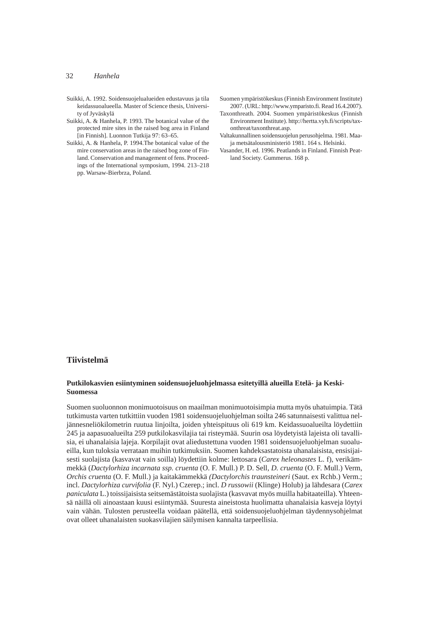- Suikki, A. 1992. Soidensuojelualueiden edustavuus ja tila keidassuoalueella. Master of Science thesis, University of Jyväskylä
- Suikki, A. & Hanhela, P. 1993. The botanical value of the protected mire sites in the raised bog area in Finland [in Finnish]. Luonnon Tutkija 97: 63–65.
- Suikki, A. & Hanhela, P. 1994.The botanical value of the mire conservation areas in the raised bog zone of Finland. Conservation and management of fens. Proceedings of the International symposium, 1994. 213–218 pp. Warsaw-Bierbrza, Poland.

Suomen ympäristökeskus (Finnish Environment Institute) 2007. (URL: http://www.ymparisto.fi. Read 16.4.2007).

- Taxonthreath. 2004. Suomen ympäristökeskus (Finnish Environment Institute). http://hertta.vyh.fi/scripts/taxonthreat/taxonthreat.asp.
- Valtakunnallinen soidensuojelun perusohjelma. 1981. Maaja metsätalousministeriö 1981. 164 s. Helsinki.
- Vasander, H. ed. 1996. Peatlands in Finland. Finnish Peatland Society. Gummerus. 168 p.

## **Tiivistelmä**

## **Putkilokasvien esiintyminen soidensuojeluohjelmassa esitetyillä alueilla Etelä- ja Keski-Suomessa**

Suomen suoluonnon monimuotoisuus on maailman monimuotoisimpia mutta myös uhatuimpia. Tätä tutkimusta varten tutkittiin vuoden 1981 soidensuojeluohjelman soilta 246 satunnaisesti valittua neljännesneliökilometrin ruutua linjoilta, joiden yhteispituus oli 619 km. Keidassuoalueilta löydettiin 245 ja aapasuoalueilta 259 putkilokasvilajia tai risteymää. Suurin osa löydetyistä lajeista oli tavallisia, ei uhanalaisia lajeja. Korpilajit ovat aliedustettuna vuoden 1981 soidensuojeluohjelman suoalueilla, kun tuloksia verrataan muihin tutkimuksiin. Suomen kahdeksastatoista uhanalaisista, ensisijaisesti suolajista (kasvavat vain soilla) löydettiin kolme: lettosara (*Carex heleonastes* L. f), verikämmekkä (*Dactylorhiza incarnata ssp. cruenta* (O. F. Mull.) P. D. Sell*, D. cruenta* (O. F. Mull.) Verm, *Orchis cruenta* (O. F. Mull.) ja kaitakämmekkä *(Dactylorchis traunsteineri* (Saut. ex Rchb.) Verm.; incl. *Dactylorhiza curvifolia* (F. Nyl.) Czerep.; incl. *D russowii* (Klinge) Holub) ja lähdesara (*Carex paniculata* L.) toissijaisista seitsemästätoista suolajista (kasvavat myös muilla habitaateilla). Yhteensä näillä oli ainoastaan kuusi esiintymää. Suuresta aineistosta huolimatta uhanalaisia kasveja löytyi vain vähän. Tulosten perusteella voidaan päätellä, että soidensuojeluohjelman täydennysohjelmat ovat olleet uhanalaisten suokasvilajien säilymisen kannalta tarpeellisia.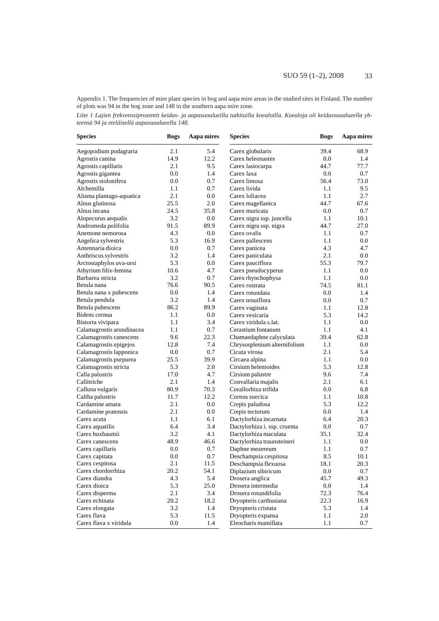Appendix 1. The frequencies of mire plant species in bog and aapa mire areas in the studied sites in Finland. The number of plots was 94 in the bog zone and 148 in the southern aapa mire zone.

*Liite 1 Lajien frekvenssiprosentit keidas- ja aapasuoalueilla tutkituilla koealoilla. Koealoja oli keidassuoalueella yhteensä 94 ja eteläisellä aapasuoalueella 148.*

| <b>Species</b>            | <b>Bogs</b> | Aapa mires | <b>Species</b>               | <b>Bogs</b> | Aapa mires |
|---------------------------|-------------|------------|------------------------------|-------------|------------|
| Aegopodium podagraria     | 2.1         | 5.4        | Carex globularis             | 39.4        | 68.9       |
| Agrostis canina           | 14.9        | 12.2       | Carex heleonastes            | 0.0         | 1.4        |
| Agrostis capillaris       | 2.1         | 9.5        | Carex lasiocarpa             | 44.7        | 77.7       |
| Agrostis gigantea         | 0.0         | 1.4        | Carex laxa                   | 0.0         | 0.7        |
| Agrostis stolonifera      | 0.0         | 0.7        | Carex limosa                 | 56.4        | 73.0       |
| Alchemilla                | 1.1         | 0.7        | Carex livida                 | 1.1         | 9.5        |
| Alisma plantago-aquatica  | 2.1         | 0.0        | Carex loliacea               | 1.1         | 2.7        |
| Alnus glutinosa           | 25.5        | 2.0        | Carex magellanica            | 44.7        | 67.6       |
| Alnus incana              | 24.5        | 35.8       | Carex muricata               | 0.0         | 0.7        |
| Alopecurus aequalis       | 3.2         | 0.0        | Carex nigra ssp. juncella    | 1.1         | 10.1       |
| Andromeda polifolia       | 91.5        | 89.9       | Carex nigra ssp. nigra       | 44.7        | 27.0       |
| Anemone nemorosa          | 4.3         | 0.0        | Carex ovalis                 | 1.1         | 0.7        |
| Angelica sylvestris       | 5.3         | 16.9       | Carex pallescens             | 1.1         | 0.0        |
| Antennaria dioica         | 0.0         | 0.7        | Carex panicea                | 4.3         | 4.7        |
| Anthriscus sylvestris     | 3.2         | 1.4        | Carex paniculata             | 2.1         | 0.0        |
| Arctostaphylos uva-ursi   | 5.3         | 0.0        | Carex pauciflora             | 55.3        | 79.7       |
| Athyrium filix-femina     | 10.6        | 4.7        | Carex pseudocyperus          | 1.1         | 0.0        |
| Barbarea stricta          | 3.2         | 0.7        | Carex rhynchophysa           | 1.1         | 0.0        |
| Betula nana               | 76.6        | 90.5       | Carex rostrata               | 74.5        | 81.1       |
| Betula nana x pubescens   | 0.0         | 1.4        | Carex rotundata              | 0.0         | 1.4        |
| Betula pendula            | 3.2         | 1.4        | Carex tenuiflora             | 0.0         | 0.7        |
| Betula pubescens          | 86.2        | 89.9       | Carex vaginata               | 1.1         | 12.8       |
| Bidens cernua             | 1.1         | 0.0        | Carex vesicaria              | 5.3         | 14.2       |
| Bistorta vivipara         | 1.1         | 3.4        | Carex viridula s.lat.        | 1.1         | 0.0        |
| Calamagrostis arundinacea | 1.1         | 0.7        | Cerastium fontanum           | 1.1         | 4.1        |
| Calamagrostis canescens   | 9.6         | 22.3       | Chamaedaphne calyculata      | 39.4        | 62.8       |
| Calamagrostis epigejos    | 12.8        | 7.4        | Chrysosplenium alternifolium | 1.1         | 0.0        |
| Calamagrostis lapponica   | 0.0         | 0.7        | Cicuta virosa                | 2.1         | 5.4        |
| Calamagrostis purpurea    | 25.5        | 39.9       | Circaea alpina               | 1.1         | 0.0        |
| Calamagrostis stricta     | 5.3         | 2.0        | Cirsium helenioides          | 5.3         | 12.8       |
| Calla palustris           | 17.0        | 4.7        | Cirsium palustre             | 9.6         | 7.4        |
| Callitriche               | 2.1         | 1.4        | Convallaria majalis          | 2.1         | 6.1        |
| Calluna vulgaris          | 80.9        | 70.3       | Corallorhiza trifida         | 0.0         | 6.8        |
| Caltha palustris          | 11.7        | 12.2       | Cornus suecica               | 1.1         | 10.8       |
| Cardamine amara           | 2.1         | 0.0        | Crepis paludosa              | 5.3         | 12.2       |
| Cardamine pratensis       | 2.1         | 0.0        | Crepis tectorum              | 0.0         | 1.4        |
| Carex acuta               | 1.1         | 6.1        | Dactylorhiza incarnata       | 6.4         | 20.3       |
| Carex aquatilis           | 6.4         | 3.4        | Dactylorhiza i. ssp. cruenta | 0.0         | 0.7        |
| Carex buxbaumii           | 3.2         | 4.1        | Dactylorhiza maculata        | 35.1        | 32.4       |
| Carex canescens           | 48.9        | 46.6       | Dactylorhiza traunsteineri   | 1.1         | 0.0        |
| Carex capillaris          | 0.0         | 0.7        | Daphne mezereum              | 1.1         | 0.7        |
| Carex capitata            | 0.0         | 0.7        | Deschampsia cespitosa        | 8.5         | 10.1       |
| Carex cespitosa           | 2.1         | 11.5       | Deschampsia flexuosa         | 18.1        | 20.3       |
| Carex chordorrhiza        | 20.2        | 54.1       | Diplazium sibiricum          | 0.0         | 0.7        |
| Carex diandra             | 4.3         | 5.4        | Drosera anglica              | 45.7        | 49.3       |
| Carex dioica              | 5.3         | 25.0       | Drosera intermedia           | $0.0\,$     | 1.4        |
| Carex disperma            | 2.1         | 3.4        | Drosera rotundifolia         | 72.3        | 76.4       |
| Carex echinata            | 20.2        | 18.2       | Dryopteris carthusiana       | 22.3        | 16.9       |
| Carex elongata            | 3.2         | 1.4        | Dryopteris cristata          | 5.3         | 1.4        |
| Carex flava               | 5.3         | 11.5       | Dryopteris expansa           | 1.1         | 2.0        |
|                           |             |            |                              |             | 0.7        |
| Carex flava x viridula    | 0.0         | 1.4        | Eleocharis mamillata         | 1.1         |            |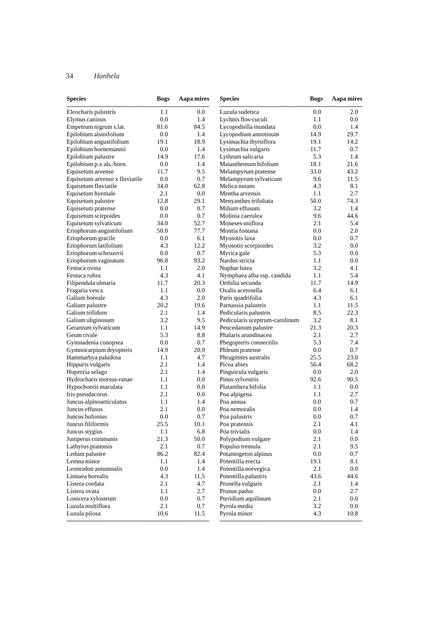| <b>Species</b>                 | <b>Bogs</b> | Aapa mires | <b>Species</b>                 | <b>Bogs</b> | Aapa mires |
|--------------------------------|-------------|------------|--------------------------------|-------------|------------|
| Eleocharis palustris           | 1.1         | 0.0        | Luzula sudetica                | 0.0         | 2.0        |
| Elymus caninus                 | 0.0         | 1.4        | Lychnis flos-cuculi            | 1.1         | $0.0\,$    |
| Empetrum nigrum s.lat.         | 81.6        | 84.5       | Lycopodiella inundata          | 0.0         | 1.4        |
| Epilobium alsinifolium         | 0.0         | 1.4        | Lycopodium annotinum           | 14.9        | 29.7       |
| Epilobium angustifolium        | 19.1        | 18.9       | Lysimachia thyrsiflora         | 19.1        | 14.2       |
| Epilobium hornemannii          | 0.0         | 1.4        | Lysimachia vulgaris            | 11.7        | 0.7        |
| Epilobium palustre             | 14.9        | 17.6       | Lythrum salicaria              | 5.3         | 1.4        |
| Epilobium p.x als./horn.       | 0.0         | 1.4        | Maianthemum bifolium           | 18.1        | 21.6       |
| Equisetum arvense              | 11.7        | 9.5        | Melampyrum pratense            | 33.0        | 43.2       |
| Equisetum arvense x fluviatile | 0.0         | 0.7        | Melampyrum sylvaticum          | 9.6         | 11.5       |
| Equisetum fluviatile           | 34.0        | 62.8       | Melica nutans                  | 4.3         | 8.1        |
| Equisetum hyemale              | 2.1         | 0.0        | Mentha arvensis                | 1.1         | 2.7        |
| Equisetum palustre             | 12.8        | 29.1       | Menyanthes trifoliata          | 50.0        | 74.3       |
| Equisetum pratense             | 0.0         | 0.7        | Milium effusum                 | 3.2         | 1.4        |
| Equisetum scirpoides           | 0.0         | 0.7        | Molinia caerulea               | 9.6         | 44.6       |
| Equisetum sylvaticum           | 34.0        | 52.7       | Moneses uniflora               | 2.1         | 5.4        |
| Eriophorum angustifolium       | 50.0        | 77.7       | Montia fontana                 | 0.0         | 2.0        |
| Eriophorum gracile             | 0.0         | 6.1        | Myosotis laxa                  | 0.0         | 0.7        |
| Eriophorum latifolium          | 4.3         | 12.2       | Myosotis scorpioides           | 3.2         | 0.0        |
| Eriophorum scheuzerii          | 0.0         | 0.7        | Myrica gale                    | 5.3         | 0.0        |
| Eriophorum vaginatum           | 96.8        | 93.2       | Nardus stricta                 | 1.1         | 0.0        |
| Festuca ovina                  | 1.1         | 2.0        | Nuphar lutea                   | 3.2         | 4.1        |
| Festuca rubra                  | 4.3         | 4.1        | Nymphaea alba ssp. candida     | 1.1         | 5.4        |
| Filipendula ulmaria            | 11.7        | 20.3       | Orthilia secunda               | 11.7        | 14.9       |
| Fragaria vesca                 | 1.1         | 0.0        | Oxalis acetosella              | 6.4         | 6.1        |
| Galium boreale                 | 4.3         | 2.0        | Paris quadrifolia              | 4.3         | 6.1        |
| Galium palustre                | 20.2        | 19.6       | Parnassia palustris            | 1.1         | 11.5       |
| Galium trifidum                | 2.1         | 1.4        | Pedicularis palustris          | 8.5         | 22.3       |
| Galium uliginosum              | 3.2         | 9.5        | Pedicularis sceptrum-carolinum | 3.2         | 8.1        |
| Geranium sylvaticum            | 1.1         | 14.9       | Peucedanum palustre            | 21.3        | 20.3       |
| Geum rivale                    | 5.3         | 8.8        | Phalaris arundinacea           | 2.1         | 2.7        |
| Gymnadenia conopsea            | 0.0         | 0.7        | Phegopteris connectilis        | 5.3         | 7.4        |
| Gymnocarpium dryopteris        | 14.9        | 20.9       | Phleum pratense                | 0.0         | 0.7        |
| Hammarbya paludosa             | 1.1         | 4.7        | Phragmites australis           | 25.5        | 23.0       |
| Hippuris vulgaris              | 2.1         | 1.4        | Picea abies                    | 56.4        | 68.2       |
| Huperzia selago                | 2.1         | 1.4        | Pinguicula vulgaris            | 0.0         | 2.0        |
| Hydrocharis morsus-ranae       | 1.1         | 0.0        | Pinus sylvestris               | 92.6        | 90.5       |
| Hypochoeris maculata           | 1.1         | 0.0        | Platanthera bifolia            | 1.1         | 0.0        |
| Iris pseudacorus               | 2.1         | 0.0        | Poa alpigena                   | 1.1         | 2.7        |
| Juncus alpinoarticulatus       | 1.1         | 1.4        | Poa annua                      | 0.0         | 0.7        |
| Juncus effusus                 | 2.1         | 0.0        | Poa nemoralis                  | 0.0         | 1.4        |
| Juncus bufonius                | 0.0         | 0.7        | Poa palustris                  | 0.0         | 0.7        |
| Juncus filiformis              | 25.5        | $10.1\,$   | Poa pratensis                  | $2.1\,$     | 4.1        |
| Juncus stygius                 | 1.1         | 6.8        | Poa trivialis                  | 0.0         | 1.4        |
| Juniperus communis             | 21.3        | 50.0       | Polypodium vulgare             | 2.1         | 0.0        |
| Lathyrus pratensis             | 2.1         | 0.7        | Populus tremula                | 2.1         | 9.5        |
| Ledum palustre                 | 86.2        | 82.4       | Potamogeton alpinus            | 0.0         | 0.7        |
| Lemna minor                    | 1.1         | 1.4        | Potentilla erecta              | 19.1        | 8.1        |
| Leontodon autumnalis           | 0.0         | 1.4        | Potentilla norvegica           | 2.1         | 0.0        |
| Linnaea borealis               | 4.3         | 11.5       | Potentilla palustris           | 43.6        | 44.6       |
| Listera cordata                | 2.1         | 4.7        | Prunella vulgaris              | 2.1         | 1.4        |
| Listera ovata                  | 1.1         | 2.7        | Prunus padus                   | 0.0         | 2.7        |
| Lonicera xylosteum             | 0.0         | 0.7        | Pteridium aquilinum            | 2.1         | 0.0        |
| Luzula multiflora              | 2.1         | 0.7        | Pyrola media                   | 3.2         | 0.0        |
| Luzula pilosa                  | 10.6        | 11.5       | Pyrola minor                   | 4.3         | 10.8       |